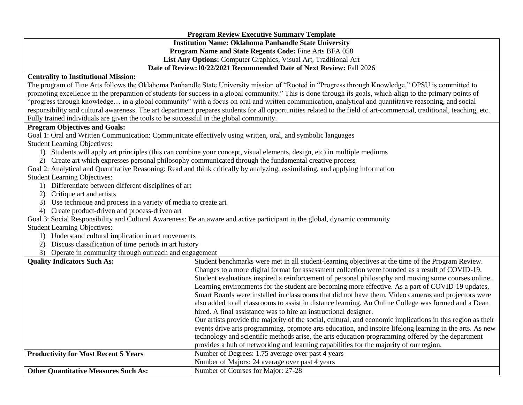|                                                                                                                                                                       | <b>Program Review Executive Summary Template</b>                                                                          |  |  |  |  |
|-----------------------------------------------------------------------------------------------------------------------------------------------------------------------|---------------------------------------------------------------------------------------------------------------------------|--|--|--|--|
|                                                                                                                                                                       | <b>Institution Name: Oklahoma Panhandle State University</b>                                                              |  |  |  |  |
| Program Name and State Regents Code: Fine Arts BFA 058                                                                                                                |                                                                                                                           |  |  |  |  |
| List Any Options: Computer Graphics, Visual Art, Traditional Art                                                                                                      |                                                                                                                           |  |  |  |  |
| Date of Review: 10/22/2021 Recommended Date of Next Review: Fall 2026                                                                                                 |                                                                                                                           |  |  |  |  |
| <b>Centrality to Institutional Mission:</b>                                                                                                                           |                                                                                                                           |  |  |  |  |
| The program of Fine Arts follows the Oklahoma Panhandle State University mission of "Rooted in "Progress through Knowledge," OPSU is committed to                     |                                                                                                                           |  |  |  |  |
| promoting excellence in the preparation of students for success in a global community." This is done through its goals, which align to the primary points of          |                                                                                                                           |  |  |  |  |
| "progress through knowledge in a global community" with a focus on oral and written communication, analytical and quantitative reasoning, and social                  |                                                                                                                           |  |  |  |  |
| responsibility and cultural awareness. The art department prepares students for all opportunities related to the field of art-commercial, traditional, teaching, etc. |                                                                                                                           |  |  |  |  |
| Fully trained individuals are given the tools to be successful in the global community.                                                                               |                                                                                                                           |  |  |  |  |
| <b>Program Objectives and Goals:</b>                                                                                                                                  |                                                                                                                           |  |  |  |  |
| Goal 1: Oral and Written Communication: Communicate effectively using written, oral, and symbolic languages                                                           |                                                                                                                           |  |  |  |  |
| <b>Student Learning Objectives:</b>                                                                                                                                   |                                                                                                                           |  |  |  |  |
| 1) Students will apply art principles (this can combine your concept, visual elements, design, etc) in multiple mediums                                               |                                                                                                                           |  |  |  |  |
| 2) Create art which expresses personal philosophy communicated through the fundamental creative process                                                               |                                                                                                                           |  |  |  |  |
| Goal 2: Analytical and Quantitative Reasoning: Read and think critically by analyzing, assimilating, and applying information                                         |                                                                                                                           |  |  |  |  |
| <b>Student Learning Objectives:</b>                                                                                                                                   |                                                                                                                           |  |  |  |  |
| 1) Differentiate between different disciplines of art                                                                                                                 |                                                                                                                           |  |  |  |  |
| 2) Critique art and artists                                                                                                                                           |                                                                                                                           |  |  |  |  |
| 3) Use technique and process in a variety of media to create art                                                                                                      |                                                                                                                           |  |  |  |  |
| 4) Create product-driven and process-driven art                                                                                                                       |                                                                                                                           |  |  |  |  |
|                                                                                                                                                                       | Goal 3: Social Responsibility and Cultural Awareness: Be an aware and active participant in the global, dynamic community |  |  |  |  |
| <b>Student Learning Objectives:</b>                                                                                                                                   |                                                                                                                           |  |  |  |  |
| 1) Understand cultural implication in art movements                                                                                                                   |                                                                                                                           |  |  |  |  |
| 2) Discuss classification of time periods in art history                                                                                                              |                                                                                                                           |  |  |  |  |
| 3) Operate in community through outreach and engagement                                                                                                               |                                                                                                                           |  |  |  |  |
| <b>Quality Indicators Such As:</b>                                                                                                                                    | Student benchmarks were met in all student-learning objectives at the time of the Program Review.                         |  |  |  |  |
|                                                                                                                                                                       | Changes to a more digital format for assessment collection were founded as a result of COVID-19.                          |  |  |  |  |
|                                                                                                                                                                       | Student evaluations inspired a reinforcement of personal philosophy and moving some courses online.                       |  |  |  |  |
|                                                                                                                                                                       | Learning environments for the student are becoming more effective. As a part of COVID-19 updates,                         |  |  |  |  |
|                                                                                                                                                                       | Smart Boards were installed in classrooms that did not have them. Video cameras and projectors were                       |  |  |  |  |
|                                                                                                                                                                       | also added to all classrooms to assist in distance learning. An Online College was formed and a Dean                      |  |  |  |  |
|                                                                                                                                                                       | hired. A final assistance was to hire an instructional designer.                                                          |  |  |  |  |
|                                                                                                                                                                       | Our artists provide the majority of the social, cultural, and economic implications in this region as their               |  |  |  |  |
|                                                                                                                                                                       | events drive arts programming, promote arts education, and inspire lifelong learning in the arts. As new                  |  |  |  |  |
|                                                                                                                                                                       | technology and scientific methods arise, the arts education programming offered by the department                         |  |  |  |  |
|                                                                                                                                                                       | provides a hub of networking and learning capabilities for the majority of our region.                                    |  |  |  |  |
| <b>Productivity for Most Recent 5 Years</b>                                                                                                                           | Number of Degrees: 1.75 average over past 4 years                                                                         |  |  |  |  |
|                                                                                                                                                                       | Number of Majors: 24 average over past 4 years                                                                            |  |  |  |  |
| <b>Other Quantitative Measures Such As:</b>                                                                                                                           | Number of Courses for Major: 27-28                                                                                        |  |  |  |  |